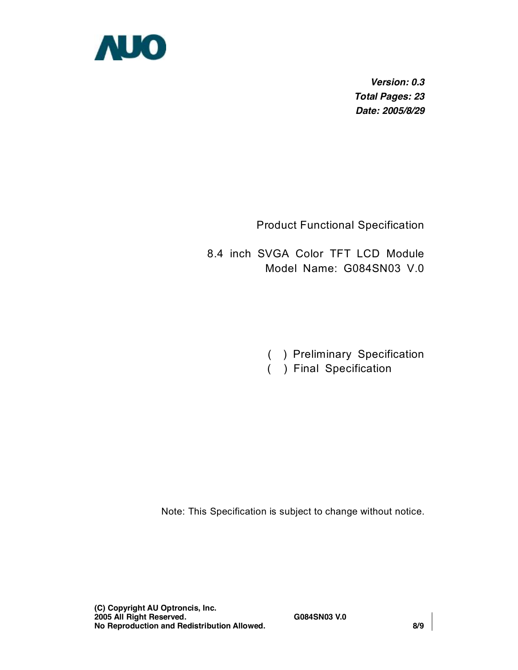

*Version: 0.3 Total Pages: 23 Date: 2005/8/29* 

Product Functional Specification

8.4 inch SVGA Color TFT LCD Module Model Name: G084SN03 V.0

- ( ) Preliminary Specification
- ( ) Final Specification

Note: This Specification is subject to change without notice.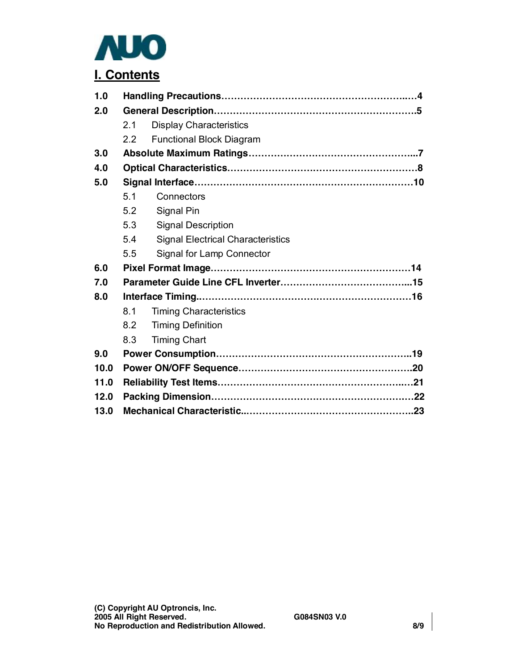

# **I. Contents**

| 1.0  |     |                                          |  |  |  |  |  |  |  |  |
|------|-----|------------------------------------------|--|--|--|--|--|--|--|--|
| 2.0  |     |                                          |  |  |  |  |  |  |  |  |
|      | 2.1 | <b>Display Characteristics</b>           |  |  |  |  |  |  |  |  |
|      | 22  | <b>Functional Block Diagram</b>          |  |  |  |  |  |  |  |  |
| 3.0  |     |                                          |  |  |  |  |  |  |  |  |
| 4.0  |     |                                          |  |  |  |  |  |  |  |  |
| 5.0  |     |                                          |  |  |  |  |  |  |  |  |
|      | 5.1 | Connectors                               |  |  |  |  |  |  |  |  |
|      | 5.2 | Signal Pin                               |  |  |  |  |  |  |  |  |
|      | 5.3 | <b>Signal Description</b>                |  |  |  |  |  |  |  |  |
|      | 5.4 | <b>Signal Electrical Characteristics</b> |  |  |  |  |  |  |  |  |
|      | 5.5 | Signal for Lamp Connector                |  |  |  |  |  |  |  |  |
| 6.0  |     |                                          |  |  |  |  |  |  |  |  |
| 7.0  |     |                                          |  |  |  |  |  |  |  |  |
| 8.0  |     |                                          |  |  |  |  |  |  |  |  |
|      | 8.1 | <b>Timing Characteristics</b>            |  |  |  |  |  |  |  |  |
|      | 8.2 | <b>Timing Definition</b>                 |  |  |  |  |  |  |  |  |
|      | 8.3 | <b>Timing Chart</b>                      |  |  |  |  |  |  |  |  |
| 9.0  |     |                                          |  |  |  |  |  |  |  |  |
| 10.0 |     |                                          |  |  |  |  |  |  |  |  |
| 11.0 |     |                                          |  |  |  |  |  |  |  |  |
| 12.0 |     |                                          |  |  |  |  |  |  |  |  |
| 13.0 |     |                                          |  |  |  |  |  |  |  |  |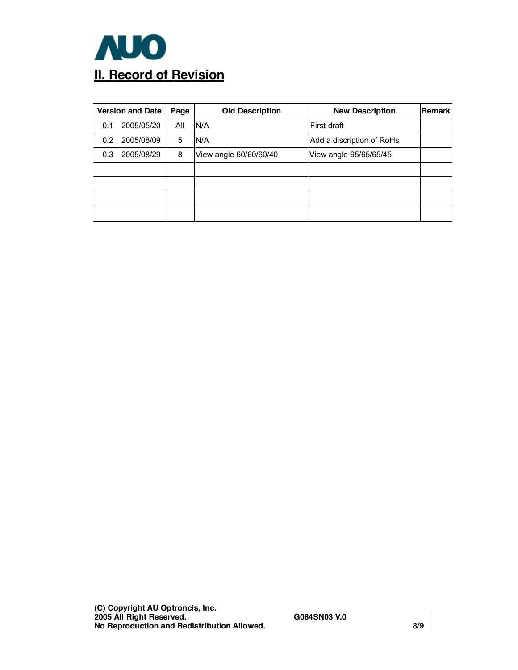

| <b>Version and Date</b><br>Page |            |     | <b>Old Description</b> | <b>New Description</b>    | Remark |
|---------------------------------|------------|-----|------------------------|---------------------------|--------|
| 0.1                             | 2005/05/20 | All | N/A                    | First draft               |        |
| 0.2                             | 2005/08/09 | 5   | N/A                    | Add a discription of RoHs |        |
| 0.3 <sub>1</sub>                | 2005/08/29 | 8   | View angle 60/60/60/40 | View angle 65/65/65/45    |        |
|                                 |            |     |                        |                           |        |
|                                 |            |     |                        |                           |        |
|                                 |            |     |                        |                           |        |
|                                 |            |     |                        |                           |        |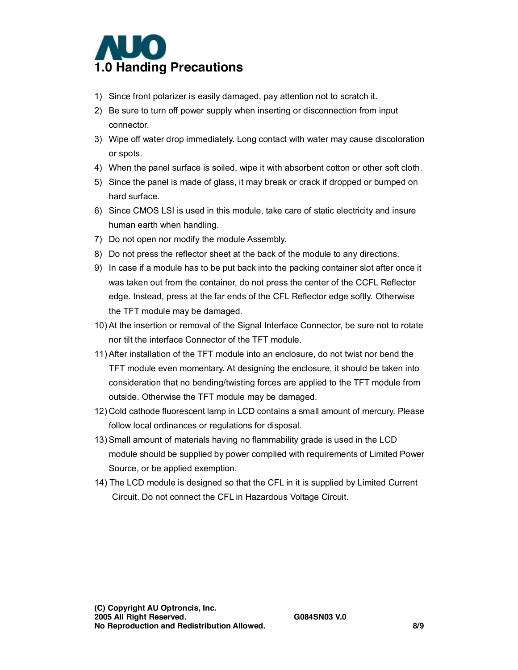

- 1) Since front polarizer is easily damaged, pay attention not to scratch it.
- 2) Be sure to turn off power supply when inserting or disconnection from input connector.
- 3) Wipe off water drop immediately. Long contact with water may cause discoloration or spots.
- 4) When the panel surface is soiled, wipe it with absorbent cotton or other soft cloth.
- 5) Since the panel is made of glass, it may break or crack if dropped or bumped on hard surface.
- 6) Since CMOS LSI is used in this module, take care of static electricity and insure human earth when handling.
- 7) Do not open nor modify the module Assembly.
- 8) Do not press the reflector sheet at the back of the module to any directions.
- 9) In case if a module has to be put back into the packing container slot after once it was taken out from the container, do not press the center of the CCFL Reflector edge. Instead, press at the far ends of the CFL Reflector edge softly. Otherwise the TFT module may be damaged.
- 10) At the insertion or removal of the Signal Interface Connector, be sure not to rotate nor tilt the interface Connector of the TFT module.
- 11) After installation of the TFT module into an enclosure, do not twist nor bend the TFT module even momentary. At designing the enclosure, it should be taken into consideration that no bending/twisting forces are applied to the TFT module from outside. Otherwise the TFT module may be damaged.
- 12) Cold cathode fluorescent lamp in LCD contains a small amount of mercury. Please follow local ordinances or regulations for disposal.
- 13) Small amount of materials having no flammability grade is used in the LCD module should be supplied by power complied with requirements of Limited Power Source, or be applied exemption.
- 14) The LCD module is designed so that the CFL in it is supplied by Limited Current Circuit. Do not connect the CFL in Hazardous Voltage Circuit.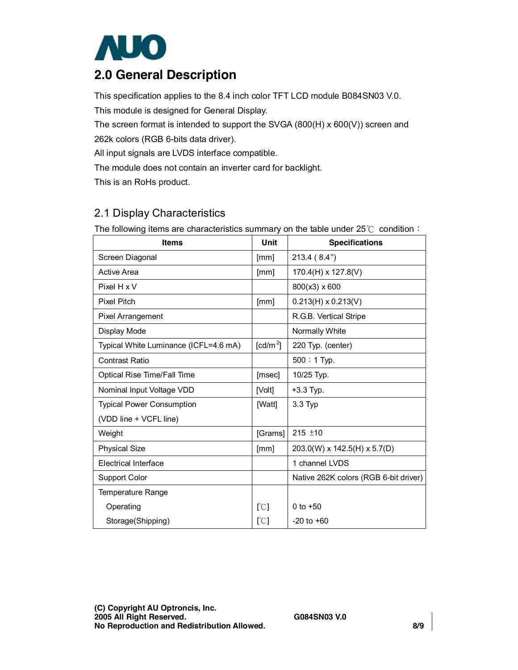

## **2.0 General Description**

This specification applies to the 8.4 inch color TFT LCD module B084SN03 V.0.

This module is designed for General Display.

The screen format is intended to support the SVGA (800(H) x 600(V)) screen and

262k colors (RGB 6-bits data driver).

All input signals are LVDS interface compatible.

The module does not contain an inverter card for backlight.

This is an RoHs product.

### 2.1 Display Characteristics

The following items are characteristics summary on the table under  $25^{\circ}$  condition: **Items Unit Specifications**  Screen Diagonal [mm] 213.4 (8.4") Active Area  $\begin{array}{|c|c|c|c|c|c|c|c|c|} \hline \text{[mm]} & 170.4(\text{H}) \times 127.8(\text{V}) \hline \end{array}$ Pixel H x V  $| 800(x3) \times 600$ Pixel Pitch [mm] 0.213(H) x 0.213(V) Pixel Arrangement **R.G.B. Vertical Stripe** Display Mode Normally White Normally White Typical White Luminance (ICFL=4.6 mA)  $\int$  [cd/m<sup>2</sup>] 220 Typ. (center) Contrast Ratio **1200:** 1 Typ. Optical Rise Time/Fall Time  $\vert$  [msec] | 10/25 Typ. Nominal Input Voltage VDD [Volt] +3.3 Typ. Typical Power Consumption (VDD line + VCFL line) [Watt] 3.3 Typ Weight  $\vert$  [Grams]  $\vert$  215  $\pm$ 10 Physical Size **[Mm]**  $\vert$  203.0(W) x 142.5(H) x 5.7(D) Electrical Interface 1 channel LVDS Support Color Native 262K colors (RGB 6-bit driver) Temperature Range Operating Storage(Shipping)  $\lbrack \mathcal{C} \rbrack$ [℃] 0 to +50 -20 to +60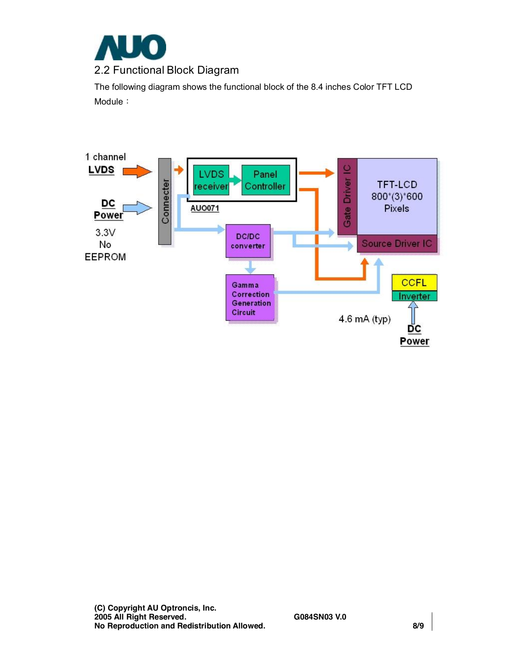

The following diagram shows the functional block of the 8.4 inches Color TFT LCD Module:

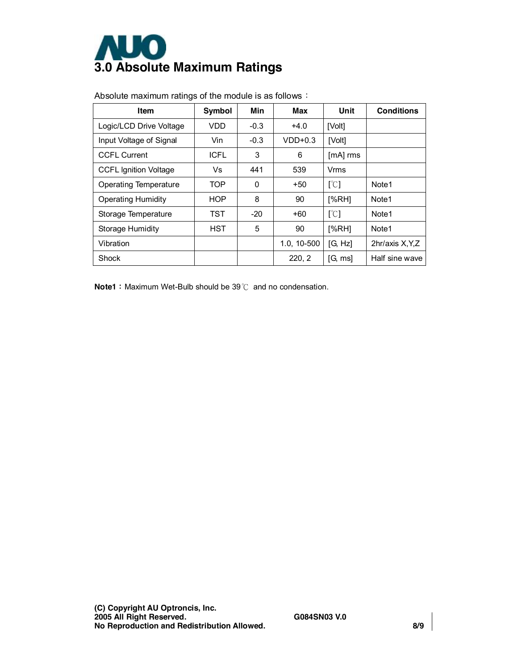

| Item                         | <b>Symbol</b> | Min    | Max         | Unit                      | <b>Conditions</b> |  |
|------------------------------|---------------|--------|-------------|---------------------------|-------------------|--|
| Logic/LCD Drive Voltage      | <b>VDD</b>    | $-0.3$ | $+4.0$      | [Volt]                    |                   |  |
| Input Voltage of Signal      | Vin           | $-0.3$ | $VDD+0.3$   | [Volt]                    |                   |  |
| <b>CCFL Current</b>          | <b>ICFL</b>   | 3      | 6           | $[mA]$ rms                |                   |  |
| <b>CCFL Ignition Voltage</b> | Vs            | 441    | 539         | Vrms                      |                   |  |
| Operating Temperature        | <b>TOP</b>    | 0      | $+50$       | [°C]                      | Note <sub>1</sub> |  |
| <b>Operating Humidity</b>    | <b>HOP</b>    | 8      | 90          | [%RH]                     | Note1             |  |
| Storage Temperature          | TST           | $-20$  | $+60$       | $\lceil \text{°C} \rceil$ | Note <sub>1</sub> |  |
| Storage Humidity             | <b>HST</b>    | 5      | 90          | [%RH]                     | Note <sub>1</sub> |  |
| Vibration                    |               |        | 1.0, 10-500 | [G, Hz]                   | 2hr/axis X, Y, Z  |  |
| Shock                        |               |        | 220, 2      | IG, msl                   | Half sine wave    |  |

Absolute maximum ratings of the module is as follows:

**Note1**: Maximum Wet-Bulb should be 39℃ and no condensation.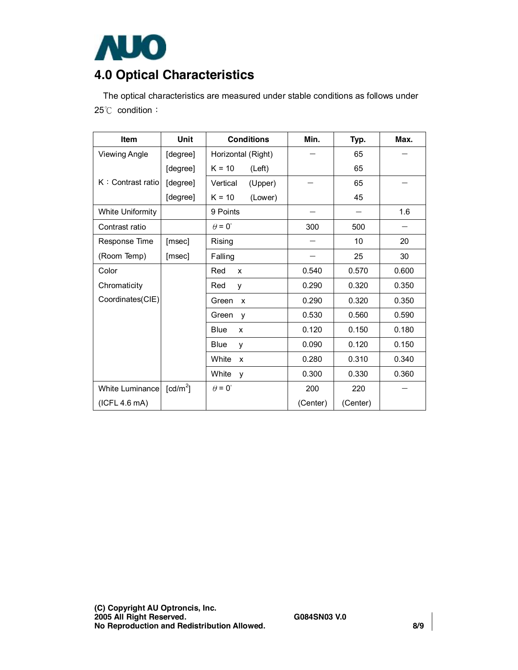

# **4.0 Optical Characteristics**

The optical characteristics are measured under stable conditions as follows under 25℃ condition:

| <b>Item</b>          | Unit                   | <b>Conditions</b>                  | Min.     | Typ.     | Max.  |
|----------------------|------------------------|------------------------------------|----------|----------|-------|
| <b>Viewing Angle</b> | [degree]               | Horizontal (Right)                 |          | 65       |       |
|                      | [degree]               | $K = 10$<br>(Left)                 |          | 65       |       |
| K: Contrast ratio    | [degree]               | Vertical<br>(Upper)                |          | 65       |       |
|                      | [degree]               | $K = 10$<br>(Lower)                |          | 45       |       |
| White Uniformity     |                        | 9 Points                           |          |          | 1.6   |
| Contrast ratio       |                        | $\theta = 0^{\circ}$               | 300      | 500      |       |
| Response Time        | [msec]                 | Rising                             |          | 10       | 20    |
| (Room Temp)          | [msec]                 | Falling                            |          | 25       | 30    |
| Color                |                        | Red<br>X                           | 0.540    | 0.570    | 0.600 |
| Chromaticity         |                        | Red<br>y                           | 0.290    | 0.320    | 0.350 |
| Coordinates(CIE)     |                        | Green<br>$\boldsymbol{\mathsf{x}}$ | 0.290    | 0.320    | 0.350 |
|                      |                        | Green<br>y                         | 0.530    | 0.560    | 0.590 |
|                      |                        | <b>Blue</b><br>x                   | 0.120    | 0.150    | 0.180 |
|                      |                        | Blue<br>y                          | 0.090    | 0.120    | 0.150 |
|                      |                        | White<br>X                         | 0.280    | 0.310    | 0.340 |
|                      |                        | White<br>v                         | 0.300    | 0.330    | 0.360 |
| White Luminance      | $\lceil cd/m^2 \rceil$ | $\theta = 0^{\circ}$               | 200      | 220      |       |
| (ICFL 4.6 mA)        |                        |                                    | (Center) | (Center) |       |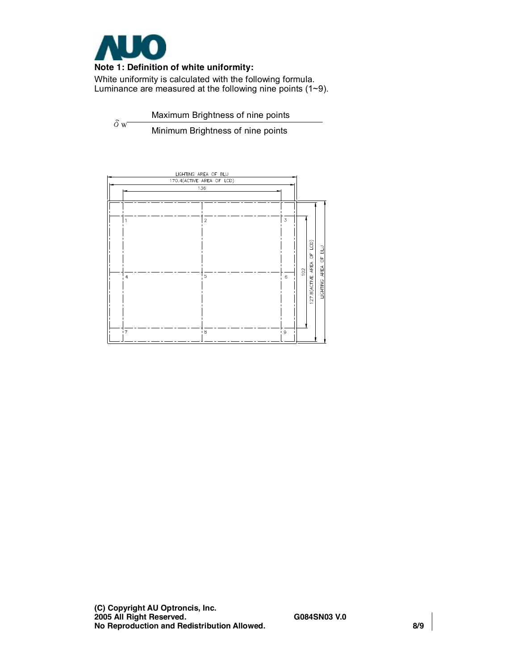

#### **Note 1: Definition of white uniformity:**

White uniformity is calculated with the following formula. Luminance are measured at the following nine points (1~9).

 $\delta w$ Maximum Brightness of nine points

Minimum Brightness of nine points

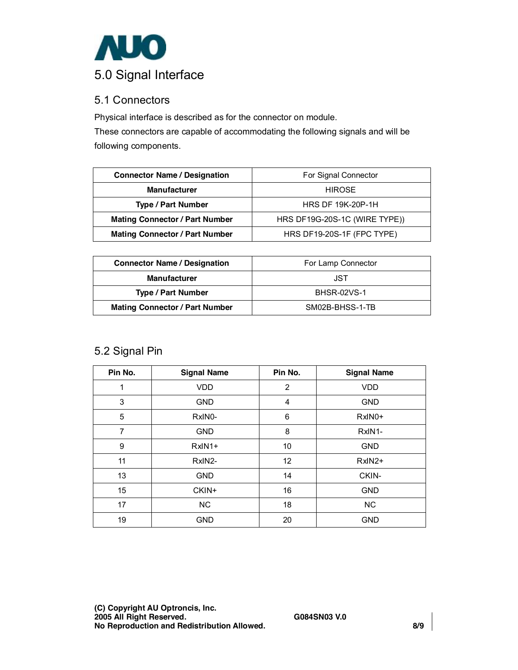

### 5.1 Connectors

Physical interface is described as for the connector on module.

These connectors are capable of accommodating the following signals and will be following components.

| <b>Connector Name / Designation</b>   | For Signal Connector          |
|---------------------------------------|-------------------------------|
| <b>Manufacturer</b>                   | <b>HIROSE</b>                 |
| <b>Type / Part Number</b>             | <b>HRS DF 19K-20P-1H</b>      |
| <b>Mating Connector / Part Number</b> | HRS DF19G-20S-1C (WIRE TYPE)) |
| <b>Mating Connector / Part Number</b> | HRS DF19-20S-1F (FPC TYPE)    |

| <b>Connector Name / Designation</b>   | For Lamp Connector |
|---------------------------------------|--------------------|
| <b>Manufacturer</b>                   | JST                |
| <b>Type / Part Number</b>             | <b>BHSR-02VS-1</b> |
| <b>Mating Connector / Part Number</b> | SM02B-BHSS-1-TB    |

### 5.2 Signal Pin

| Pin No.        | <b>Signal Name</b> | Pin No.         | <b>Signal Name</b>  |
|----------------|--------------------|-----------------|---------------------|
| 1              | <b>VDD</b>         | $\overline{2}$  | <b>VDD</b>          |
| 3              | <b>GND</b>         | 4               | <b>GND</b>          |
| 5              | RxIN0-             | 6               | RxIN <sub>0</sub> + |
| $\overline{7}$ | <b>GND</b>         | 8               | RxIN1-              |
| 9              | $RxIN1+$           | 10              | <b>GND</b>          |
| 11             | RxIN2-             | 12 <sub>2</sub> | RxIN2+              |
| 13             | <b>GND</b>         | 14              | CKIN-               |
| 15             | CKIN+              | 16              | <b>GND</b>          |
| 17             | NC                 | 18              | <b>NC</b>           |
| 19             | <b>GND</b>         | 20              | <b>GND</b>          |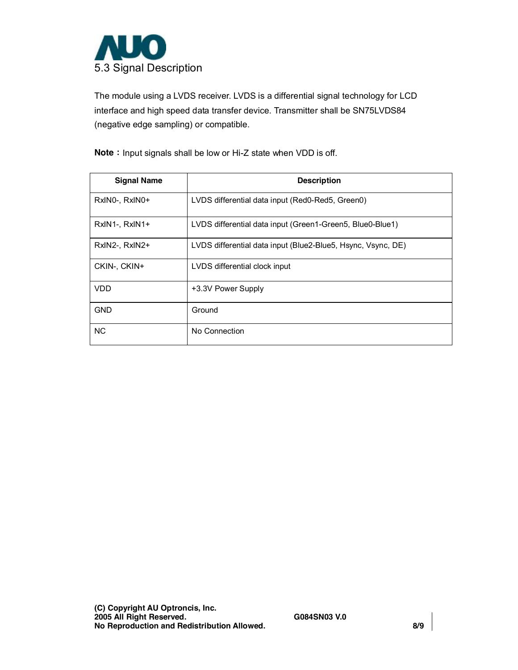

The module using a LVDS receiver. LVDS is a differential signal technology for LCD interface and high speed data transfer device. Transmitter shall be SN75LVDS84 (negative edge sampling) or compatible.

**Note**: Input signals shall be low or Hi-Z state when VDD is off.

| <b>Signal Name</b> | <b>Description</b>                                           |
|--------------------|--------------------------------------------------------------|
| RxIN0-, RxIN0+     | LVDS differential data input (Red0-Red5, Green0)             |
| RxIN1-, RxIN1+     | LVDS differential data input (Green1-Green5, Blue0-Blue1)    |
| RxIN2-, RxIN2+     | LVDS differential data input (Blue2-Blue5, Hsync, Vsync, DE) |
| CKIN-, CKIN+       | LVDS differential clock input                                |
| VDD                | +3.3V Power Supply                                           |
| <b>GND</b>         | Ground                                                       |
| <b>NC</b>          | No Connection                                                |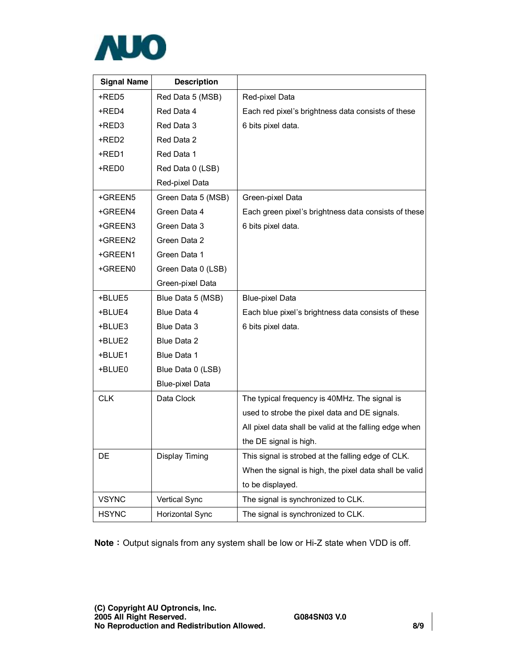

| <b>Signal Name</b> | <b>Description</b>     |                                                        |
|--------------------|------------------------|--------------------------------------------------------|
| +RED5              | Red Data 5 (MSB)       | Red-pixel Data                                         |
| +RED4              | Red Data 4             | Each red pixel's brightness data consists of these     |
| +RED3              | Red Data 3             | 6 bits pixel data.                                     |
| +RED2              | Red Data 2             |                                                        |
| +RED1              | Red Data 1             |                                                        |
| +RED0              | Red Data 0 (LSB)       |                                                        |
|                    | Red-pixel Data         |                                                        |
| +GREEN5            | Green Data 5 (MSB)     | Green-pixel Data                                       |
| +GREEN4            | Green Data 4           | Each green pixel's brightness data consists of these   |
| +GREEN3            | Green Data 3           | 6 bits pixel data.                                     |
| +GREEN2            | Green Data 2           |                                                        |
| +GREEN1            | Green Data 1           |                                                        |
| +GREEN0            | Green Data 0 (LSB)     |                                                        |
|                    | Green-pixel Data       |                                                        |
| +BLUE5             | Blue Data 5 (MSB)      | <b>Blue-pixel Data</b>                                 |
| +BLUE4             | Blue Data 4            | Each blue pixel's brightness data consists of these    |
| +BLUE3             | Blue Data 3            | 6 bits pixel data.                                     |
| +BLUE2             | Blue Data 2            |                                                        |
| +BLUE1             | Blue Data 1            |                                                        |
| +BLUE0             | Blue Data 0 (LSB)      |                                                        |
|                    | <b>Blue-pixel Data</b> |                                                        |
| <b>CLK</b>         | Data Clock             | The typical frequency is 40MHz. The signal is          |
|                    |                        | used to strobe the pixel data and DE signals.          |
|                    |                        | All pixel data shall be valid at the falling edge when |
|                    |                        | the DE signal is high.                                 |
| DE                 | Display Timing         | This signal is strobed at the falling edge of CLK.     |
|                    |                        | When the signal is high, the pixel data shall be valid |
|                    |                        | to be displayed.                                       |
| <b>VSYNC</b>       | Vertical Sync          | The signal is synchronized to CLK.                     |
| <b>HSYNC</b>       | Horizontal Sync        | The signal is synchronized to CLK.                     |

**Note**: Output signals from any system shall be low or Hi-Z state when VDD is off.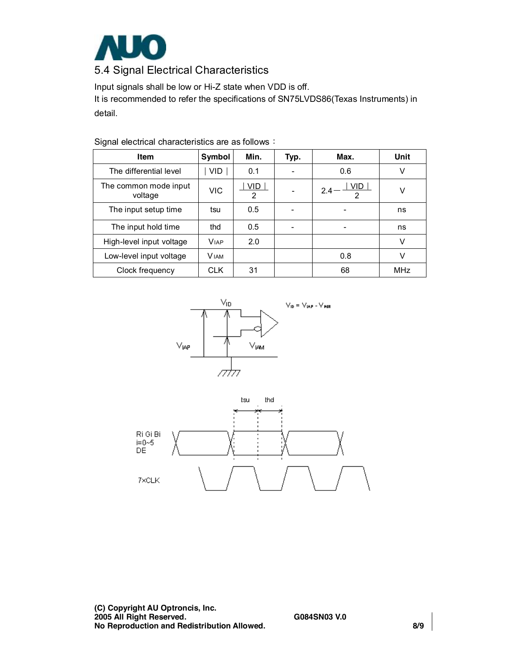

Input signals shall be low or Hi-Z state when VDD is off. It is recommended to refer the specifications of SN75LVDS86(Texas Instruments) in detail.

| Item                             | Symbol      | Min.     | Typ. | Max.                     | Unit       |
|----------------------------------|-------------|----------|------|--------------------------|------------|
| The differential level           | VID.        | 0.1      |      | 0.6                      | v          |
| The common mode input<br>voltage | VIC         | VID<br>2 |      | VID.<br>2.4<br>2         | v          |
| The input setup time             | tsu         | 0.5      |      | $\overline{\phantom{a}}$ | ns         |
| The input hold time              | thd         | 0.5      |      | $\overline{\phantom{a}}$ | ns         |
| High-level input voltage         | <b>VIAP</b> | 2.0      |      |                          | V          |
| Low-level input voltage          | <b>VIAM</b> |          |      | 0.8                      | v          |
| Clock frequency                  | <b>CLK</b>  | 31       |      | 68                       | <b>MHz</b> |

Signal electrical characteristics are as follows:



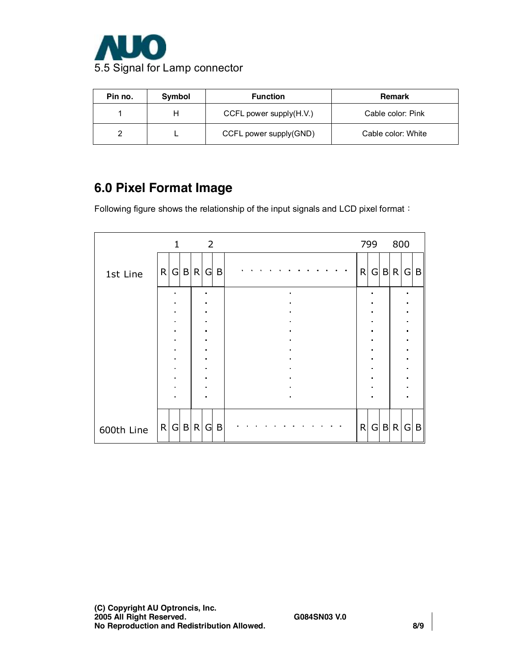

| Pin no. | Symbol | <b>Function</b>            | <b>Remark</b>      |
|---------|--------|----------------------------|--------------------|
|         |        | CCFL power supply $(H.V.)$ | Cable color: Pink  |
|         |        | CCFL power supply(GND)     | Cable color: White |

## **6.0 Pixel Format Image**

Following figure shows the relationship of the input signals and LCD pixel format:

|            |   | $\mathbf{1}$                     |              |                | $\overline{2}$         |   |  |                |  |  |                |                |  |  |  |                |   | 799             |                | 800   |                |   |
|------------|---|----------------------------------|--------------|----------------|------------------------|---|--|----------------|--|--|----------------|----------------|--|--|--|----------------|---|-----------------|----------------|-------|----------------|---|
| 1st Line   | R |                                  | G B R        |                | G                      | B |  |                |  |  |                |                |  |  |  |                | R |                 |                | G B R | G              | B |
|            |   | $\blacksquare$                   |              |                | $\blacksquare$         |   |  |                |  |  |                |                |  |  |  |                |   |                 |                |       |                |   |
|            |   | $\blacksquare$<br>$\blacksquare$ |              |                | $\bullet$<br>$\bullet$ |   |  |                |  |  |                |                |  |  |  |                |   | $\blacksquare$  |                |       |                |   |
|            |   | $\blacksquare$                   |              | $\blacksquare$ |                        |   |  |                |  |  |                |                |  |  |  |                |   |                 |                |       |                |   |
|            |   | $\blacksquare$                   |              | $\blacksquare$ |                        |   |  |                |  |  | $\blacksquare$ |                |  |  |  | $\blacksquare$ |   |                 | $\blacksquare$ |       |                |   |
|            |   | $\blacksquare$                   |              |                | $\bullet$              |   |  |                |  |  |                | $\blacksquare$ |  |  |  |                |   |                 |                |       | $\blacksquare$ |   |
|            |   | $\blacksquare$<br>$\blacksquare$ |              |                | $\bullet$<br>$\bullet$ |   |  |                |  |  |                |                |  |  |  |                |   |                 |                |       | $\blacksquare$ |   |
|            |   | $\blacksquare$                   |              | $\blacksquare$ |                        |   |  |                |  |  |                |                |  |  |  | $\blacksquare$ |   |                 |                |       |                |   |
|            |   | $\blacksquare$                   |              | $\bullet$      |                        |   |  |                |  |  |                | $\blacksquare$ |  |  |  |                |   |                 |                |       |                |   |
|            |   | $\blacksquare$                   |              |                | $\bullet$              |   |  |                |  |  |                |                |  |  |  |                |   |                 |                |       |                |   |
|            |   |                                  |              |                | $\blacksquare$         |   |  | $\blacksquare$ |  |  |                |                |  |  |  |                |   |                 |                |       |                |   |
|            |   |                                  |              |                |                        |   |  |                |  |  |                |                |  |  |  |                |   |                 |                |       |                |   |
| 600th Line | R | G                                | $\mathsf{B}$ | R              | G                      | B |  |                |  |  |                |                |  |  |  |                | R | $\vert G \vert$ |                | B R   | G              | B |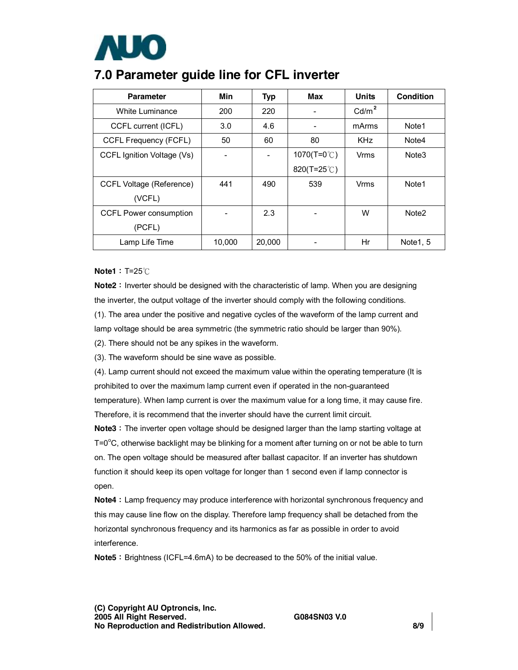

## **7.0 Parameter guide line for CFL inverter**

| <b>Parameter</b>                | Min    | <b>Typ</b>               | Max             | Units             | Condition         |
|---------------------------------|--------|--------------------------|-----------------|-------------------|-------------------|
| White Luminance                 | 200    | 220                      |                 | Cd/m <sup>2</sup> |                   |
| CCFL current (ICFL)             | 3.0    | 4.6                      |                 | mArms             | Note1             |
| <b>CCFL Frequency (FCFL)</b>    | 50     | 60                       | 80              | <b>KHz</b>        | Note4             |
| CCFL Ignition Voltage (Vs)      |        | $\overline{\phantom{a}}$ | 1070(T=0 $°C$ ) | Vrms              | Note <sub>3</sub> |
|                                 |        |                          | 820(T=25 $°C$ ) |                   |                   |
| <b>CCFL Voltage (Reference)</b> | 441    | 490                      | 539             | <b>Vrms</b>       | Note1             |
| (VCFL)                          |        |                          |                 |                   |                   |
| <b>CCFL Power consumption</b>   |        | 2.3                      |                 | W                 | Note <sub>2</sub> |
| (PCFL)                          |        |                          |                 |                   |                   |
| Lamp Life Time                  | 10,000 | 20,000                   |                 | Hr                | Note 1, 5         |

#### **Note1**:T=25℃

**Note2**: Inverter should be designed with the characteristic of lamp. When you are designing the inverter, the output voltage of the inverter should comply with the following conditions.

(1). The area under the positive and negative cycles of the waveform of the lamp current and lamp voltage should be area symmetric (the symmetric ratio should be larger than 90%).

(2). There should not be any spikes in the waveform.

(3). The waveform should be sine wave as possible.

(4). Lamp current should not exceed the maximum value within the operating temperature (It is prohibited to over the maximum lamp current even if operated in the non-guaranteed temperature). When lamp current is over the maximum value for a long time, it may cause fire. Therefore, it is recommend that the inverter should have the current limit circuit.

**Note3**: The inverter open voltage should be designed larger than the lamp starting voltage at  $T = 0^{\circ}$ C, otherwise backlight may be blinking for a moment after turning on or not be able to turn on. The open voltage should be measured after ballast capacitor. If an inverter has shutdown function it should keep its open voltage for longer than 1 second even if lamp connector is open.

**Note4**: Lamp frequency may produce interference with horizontal synchronous frequency and this may cause line flow on the display. Therefore lamp frequency shall be detached from the horizontal synchronous frequency and its harmonics as far as possible in order to avoid interference.

**Note5**: Brightness (ICFL=4.6mA) to be decreased to the 50% of the initial value.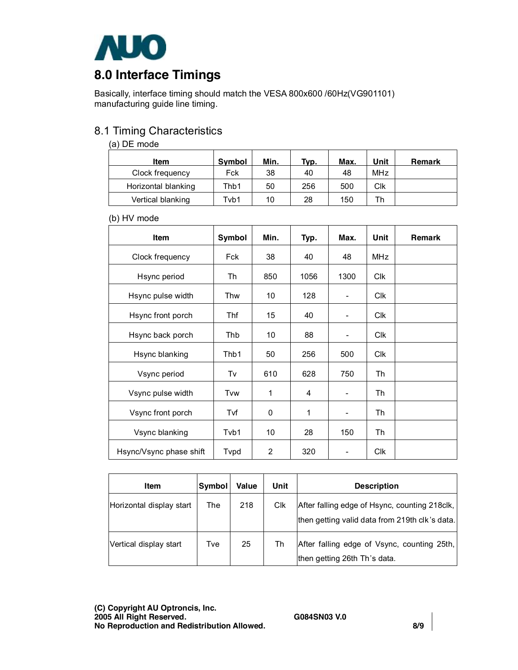

# **8.0 Interface Timings**

Basically, interface timing should match the VESA 800x600 /60Hz(VG901101) manufacturing guide line timing.

### 8.1 Timing Characteristics

#### (a) DE mode

| <b>Item</b>         | <b>Symbol</b> | Min. | Tvp. | Max. | Unit | <b>Remark</b> |
|---------------------|---------------|------|------|------|------|---------------|
| Clock frequency     | Fck           | 38   | 40   | 48   | MHz  |               |
| Horizontal blanking | Thb1          | 50   | 256  | 500  | Clk  |               |
| Vertical blanking   | Tvb1          | 10   | 28   | 150  | Th   |               |

#### (b) HV mode

| <b>Item</b>             | Symbol | Min. | Typ. | Max.                     | Unit       | <b>Remark</b> |
|-------------------------|--------|------|------|--------------------------|------------|---------------|
| Clock frequency         | Fck    | 38   | 40   | 48                       | <b>MHz</b> |               |
| Hsync period            | Th     | 850  | 1056 | 1300                     | <b>Clk</b> |               |
| Hsync pulse width       | Thw    | 10   | 128  |                          | <b>Clk</b> |               |
| Hsync front porch       | Thf    | 15   | 40   |                          | <b>Clk</b> |               |
| Hsync back porch        | Thb    | 10   | 88   | $\overline{\phantom{a}}$ | <b>Clk</b> |               |
| Hsync blanking          | Thb1   | 50   | 256  | 500                      | <b>CIK</b> |               |
| Vsync period            | Tv     | 610  | 628  | 750                      | Th         |               |
| Vsync pulse width       | Tvw    | 1    | 4    | $\overline{\phantom{0}}$ | Th         |               |
| Vsync front porch       | Tvf    | 0    | 1    | $\overline{a}$           | Th         |               |
| Vsync blanking          | Tvb1   | 10   | 28   | 150                      | Th         |               |
| Hsync/Vsync phase shift | Tvpd   | 2    | 320  |                          | <b>Clk</b> |               |

| <b>Item</b>              | Symbol | Value | Unit | <b>Description</b>                                                                                |
|--------------------------|--------|-------|------|---------------------------------------------------------------------------------------------------|
| Horizontal display start | The    | 218   | Clk  | After falling edge of Hsync, counting 218clk,  <br>then getting valid data from 219th clk's data. |
| Vertical display start   | Tve    | 25    | Th   | After falling edge of Vsync, counting 25th,<br>then getting 26th Th's data.                       |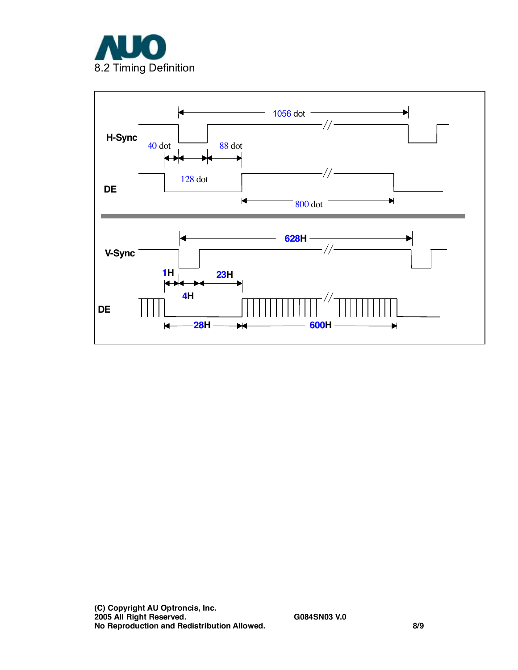

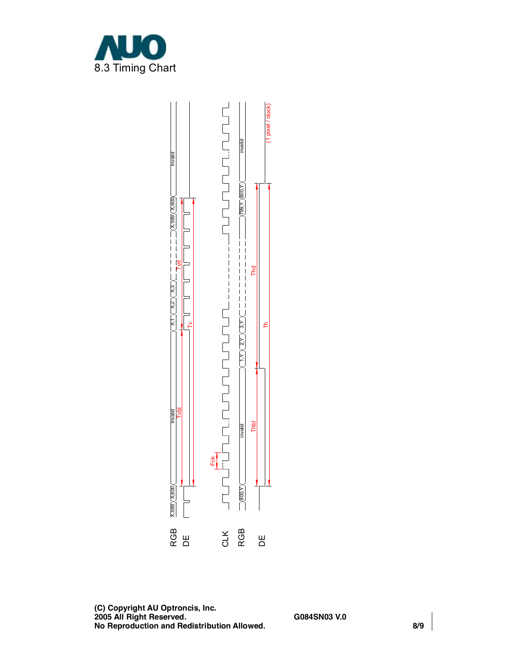

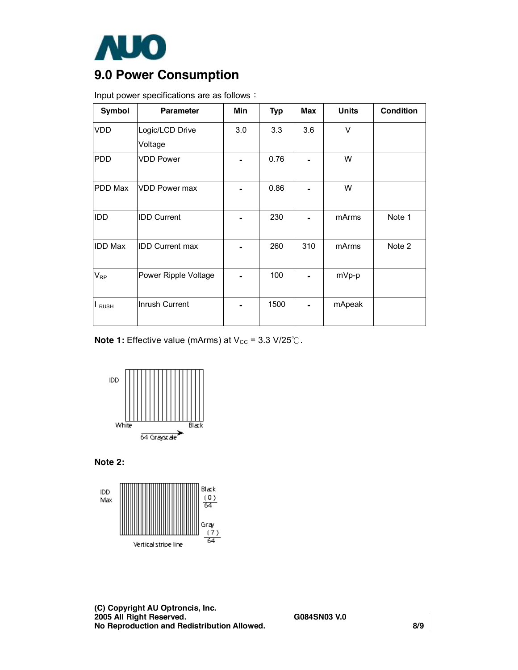

# **9.0 Power Consumption**

| Symbol                   | <b>Parameter</b>       | Min | <b>Typ</b> | <b>Max</b> | <b>Units</b> | <b>Condition</b> |
|--------------------------|------------------------|-----|------------|------------|--------------|------------------|
| <b>VDD</b>               | Logic/LCD Drive        | 3.0 | 3.3        | 3.6        | V            |                  |
|                          | Voltage                |     |            |            |              |                  |
| <b>PDD</b>               | <b>VDD Power</b>       |     | 0.76       |            | W            |                  |
| PDD Max                  | VDD Power max          |     | 0.86       |            | W            |                  |
| IDD                      | <b>IDD Current</b>     |     | 230        | ۰          | mArms        | Note 1           |
| <b>IDD Max</b>           | <b>IDD Current max</b> |     | 260        | 310        | mArms        | Note 2           |
| $\mathsf{V}_\mathsf{RP}$ | Power Ripple Voltage   |     | 100        |            | mVp-p        |                  |
| <b>RUSH</b>              | Inrush Current         |     | 1500       |            | mApeak       |                  |

Input power specifications are as follows:

**Note 1:** Effective value (mArms) at V<sub>cc</sub> = 3.3 V/25℃.



**Note 2:** 



**(C) Copyright AU Optroncis, Inc. 2005 All Right Reserved. G084SN03 V.0 No Reproduction and Redistribution Allowed. 8/9**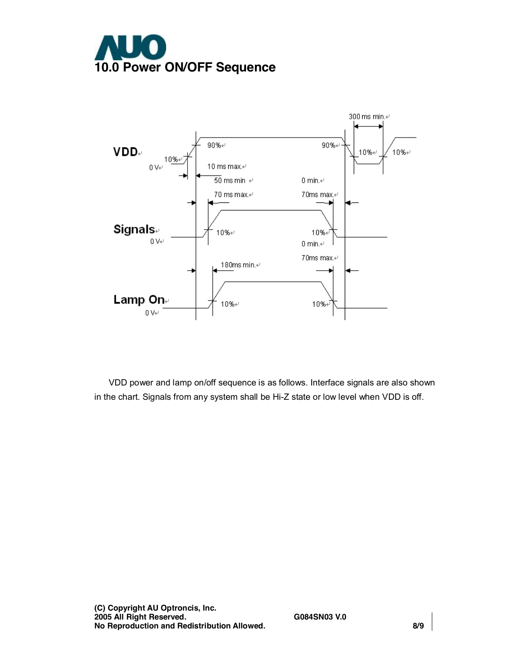



VDD power and lamp on/off sequence is as follows. Interface signals are also shown in the chart. Signals from any system shall be Hi-Z state or low level when VDD is off.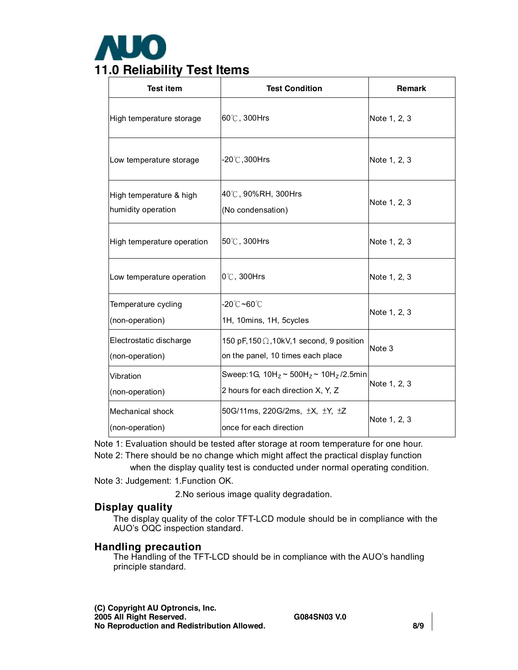

| <b>Test item</b>                              | <b>Test Condition</b>                                                                  | <b>Remark</b> |
|-----------------------------------------------|----------------------------------------------------------------------------------------|---------------|
| High temperature storage                      | 60℃, 300Hrs                                                                            | Note 1, 2, 3  |
| Low temperature storage                       | -20℃,300Hrs                                                                            | Note 1, 2, 3  |
| High temperature & high<br>humidity operation | 40℃, 90%RH, 300Hrs<br>(No condensation)                                                | Note 1, 2, 3  |
| High temperature operation                    | 50℃, 300Hrs                                                                            | Note 1, 2, 3  |
| Low temperature operation                     | $0^\circ\text{C}$ , 300Hrs                                                             | Note 1, 2, 3  |
| Temperature cycling<br>(non-operation)        | -20℃ <b>~60℃</b><br>1H, 10mins, 1H, 5cycles                                            | Note 1, 2, 3  |
| Electrostatic discharge<br>(non-operation)    | 150 pF, 150 $\Omega$ , 10kV, 1 second, 9 position<br>on the panel, 10 times each place | Note 3        |
| Vibration<br>(non-operation)                  | Sweep:1G, $10H_z \sim 500H_z \sim 10H_z/2.5$ min<br>2 hours for each direction X, Y, Z | Note 1, 2, 3  |
| Mechanical shock<br>(non-operation)           | 50G/11ms, 220G/2ms, ±X, ±Y, ±Z<br>once for each direction                              | Note 1, 2, 3  |

Note 1: Evaluation should be tested after storage at room temperature for one hour. Note 2: There should be no change which might affect the practical display function

when the display quality test is conducted under normal operating condition.

Note 3: Judgement: 1.Function OK.

2.No serious image quality degradation.

#### **Display quality**

The display quality of the color TFT-LCD module should be in compliance with the AUO's OQC inspection standard.

#### **Handling precaution**

The Handling of the TFT-LCD should be in compliance with the AUO's handling principle standard.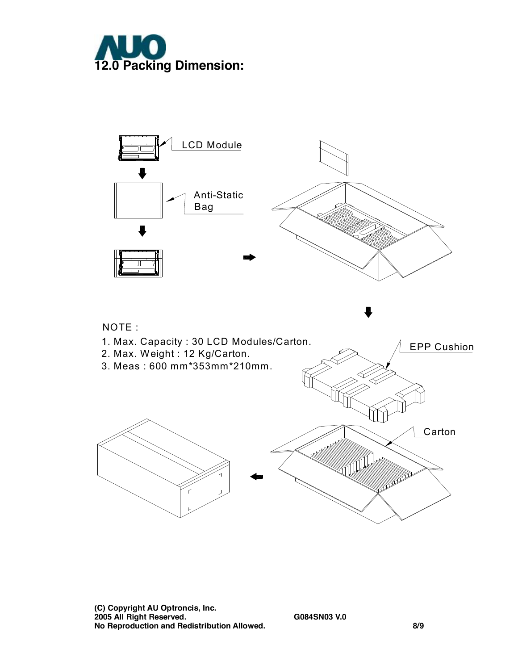



**(C) Copyright AU Optroncis, Inc. 2005 All Right Reserved. G084SN03 V.0 No Reproduction and Redistribution Allowed. 8/9**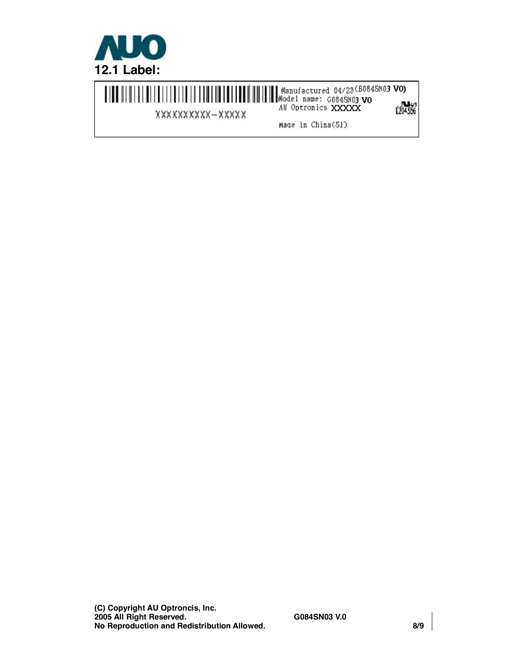

WWW. WOOW NOOW AU Optronics XXXXX (200845003 VO) 1204356 XXXXXXXXX-XXXXX Made in China(S1)